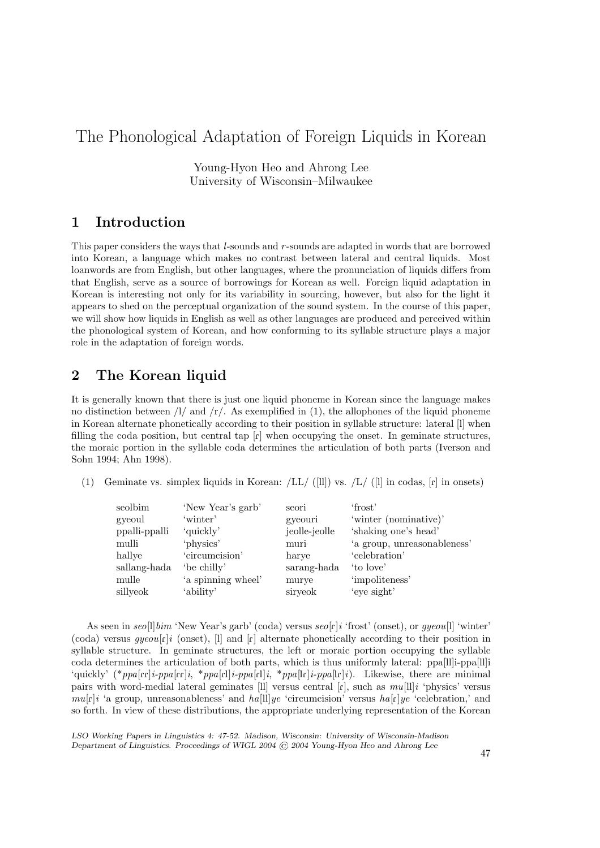# The Phonological Adaptation of Foreign Liquids in Korean

Young-Hyon Heo and Ahrong Lee University of Wisconsin–Milwaukee

# 1 Introduction

This paper considers the ways that  $l$ -sounds and  $r$ -sounds are adapted in words that are borrowed into Korean, a language which makes no contrast between lateral and central liquids. Most loanwords are from English, but other languages, where the pronunciation of liquids differs from that English, serve as a source of borrowings for Korean as well. Foreign liquid adaptation in Korean is interesting not only for its variability in sourcing, however, but also for the light it appears to shed on the perceptual organization of the sound system. In the course of this paper, we will show how liquids in English as well as other languages are produced and perceived within the phonological system of Korean, and how conforming to its syllable structure plays a major role in the adaptation of foreign words.

## 2 The Korean liquid

It is generally known that there is just one liquid phoneme in Korean since the language makes no distinction between  $\frac{1}{4}$  and  $\frac{1}{2}$ . As exemplified in (1), the allophones of the liquid phoneme in Korean alternate phonetically according to their position in syllable structure: lateral [l] when filling the coda position, but central tap  $\lceil \mathbf{r} \rceil$  when occupying the onset. In geminate structures, the moraic portion in the syllable coda determines the articulation of both parts (Iverson and Sohn 1994; Ahn 1998).

(1) Geminate vs. simplex liquids in Korean:  $/LL / (11)$  vs.  $/L / (11)$  in codas,  $\lceil r \rceil$  in onsets)

| seolbim       | 'New Year's garb'  | seori         | 'frost'                     |
|---------------|--------------------|---------------|-----------------------------|
| gyeoul        | 'winter'           | gyeouri       | 'winter (nominative)'       |
| ppalli-ppalli | 'quickly'          | jeolle-jeolle | 'shaking one's head'        |
| mulli         | 'physics'          | muri          | 'a group, unreasonableness' |
| hallye        | 'circumcision'     | harve         | 'celebration'               |
| sallang-hada  | 'be chilly'        | sarang-hada   | 'to love'                   |
| mulle         | 'a spinning wheel' | murye         | 'impoliteness'              |
| sillyeok      | 'ability'          | siryeok       | 'eye sight'                 |
|               |                    |               |                             |

As seen in  $seo[1]bim$  'New Year's garb' (coda) versus  $seo[r]i$  'frost' (onset), or  $qyeou[1]$  'winter' (coda) versus  $gyeou[r]i$  (onset), [I] and [r] alternate phonetically according to their position in syllable structure. In geminate structures, the left or moraic portion occupying the syllable coda determines the articulation of both parts, which is thus uniformly lateral: ppa[ll]i-ppa[ll]i 'quickly' (\*ppa[cx]i-ppa[cx]i, \*ppa[cx]i-ppa[cx]i, \*ppa[lr]i-ppa[lr]i). Likewise, there are minimal pairs with word-medial lateral geminates [ll] versus central  $\lbrack \mathbf{r} \rbrack$ , such as  $mu[ll]i$  'physics' versus  $mu[r]i$  'a group, unreasonableness' and  $ha[1]ye$  'circumcision' versus  $ha[r]ye$  'celebration,' and so forth. In view of these distributions, the appropriate underlying representation of the Korean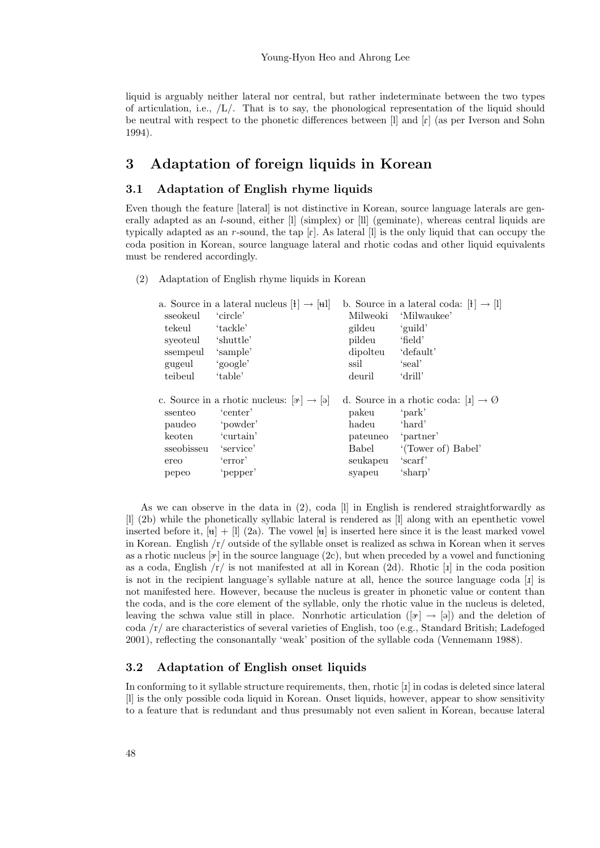liquid is arguably neither lateral nor central, but rather indeterminate between the two types of articulation, i.e.,  $/L/$ . That is to say, the phonological representation of the liquid should be neutral with respect to the phonetic differences between [l] and [R] (as per Iverson and Sohn 1994).

## 3 Adaptation of foreign liquids in Korean

#### 3.1 Adaptation of English rhyme liquids

Even though the feature [lateral] is not distinctive in Korean, source language laterals are generally adapted as an l-sound, either [l] (simplex) or [ll] (geminate), whereas central liquids are typically adapted as an  $r$ -sound, the tap  $\lceil r \rceil$ . As lateral  $\lceil r \rceil$  is the only liquid that can occupy the coda position in Korean, source language lateral and rhotic codas and other liquid equivalents must be rendered accordingly.

(2) Adaptation of English rhyme liquids in Korean

|            | a. Source in a lateral nucleus $[\mathbf{H}] \rightarrow [\mathbf{H}]$ |              | b. Source in a lateral coda: $[1] \rightarrow [1]$       |
|------------|------------------------------------------------------------------------|--------------|----------------------------------------------------------|
| sseokeul   | 'circle'                                                               | Milweoki     | 'Milwaukee'                                              |
| tekeul     | 'tackle'                                                               | gildeu       | 'guild'                                                  |
| syeoteul   | shuttle'                                                               | pildeu       | 'field'                                                  |
| ssempeul   | 'sample'                                                               | dipolteu     | default <sup>'</sup>                                     |
| gugeul     | 'google'                                                               | ssil         | 'seal'                                                   |
| teibeul    | 'table'                                                                | deuril       | 'drill'                                                  |
|            |                                                                        |              |                                                          |
|            |                                                                        |              |                                                          |
|            | c. Source in a rhotic nucleus: $[\alpha] \rightarrow [\alpha]$         |              | d. Source in a rhotic coda: $[\mathbf{I}] \to \emptyset$ |
| ssenteo    | 'center'                                                               | pakeu        | 'park'                                                   |
| paudeo     | 'powder'                                                               | hadeu        | 'hard'                                                   |
| keoten     | 'curtain'                                                              | pateuneo     | 'partner'                                                |
| sseobisseu | 'service'                                                              | <b>Babel</b> | '(Tower of) Babel'                                       |
| ereo       | 'error'                                                                | seukapeu     | 'scarf'                                                  |
| pepeo      | 'pepper'                                                               | syapeu       | 'sharp'                                                  |

As we can observe in the data in (2), coda [l] in English is rendered straightforwardly as [l] (2b) while the phonetically syllabic lateral is rendered as [l] along with an epenthetic vowel inserted before it,  $[\mathbf{u}] + [1]$  (2a). The vowel  $[\mathbf{u}]$  is inserted here since it is the least marked vowel in Korean. English /r/ outside of the syllable onset is realized as schwa in Korean when it serves as a rhotic nucleus  $[\infty]$  in the source language (2c), but when preceded by a vowel and functioning as a coda, English  $/r/$  is not manifested at all in Korean (2d). Rhotic [1] in the coda position is not in the recipient language's syllable nature at all, hence the source language coda  $\lceil 1 \rceil$  is not manifested here. However, because the nucleus is greater in phonetic value or content than the coda, and is the core element of the syllable, only the rhotic value in the nucleus is deleted, leaving the schwa value still in place. Nonrhotic articulation  $([\gamma] \rightarrow [\varphi])$  and the deletion of coda /r/ are characteristics of several varieties of English, too (e.g., Standard British; Ladefoged 2001), reflecting the consonantally 'weak' position of the syllable coda (Vennemann 1988).

#### 3.2 Adaptation of English onset liquids

In conforming to it syllable structure requirements, then, rhotic  $\lbrack \text{i} \rbrack$  in codas is deleted since lateral [l] is the only possible coda liquid in Korean. Onset liquids, however, appear to show sensitivity to a feature that is redundant and thus presumably not even salient in Korean, because lateral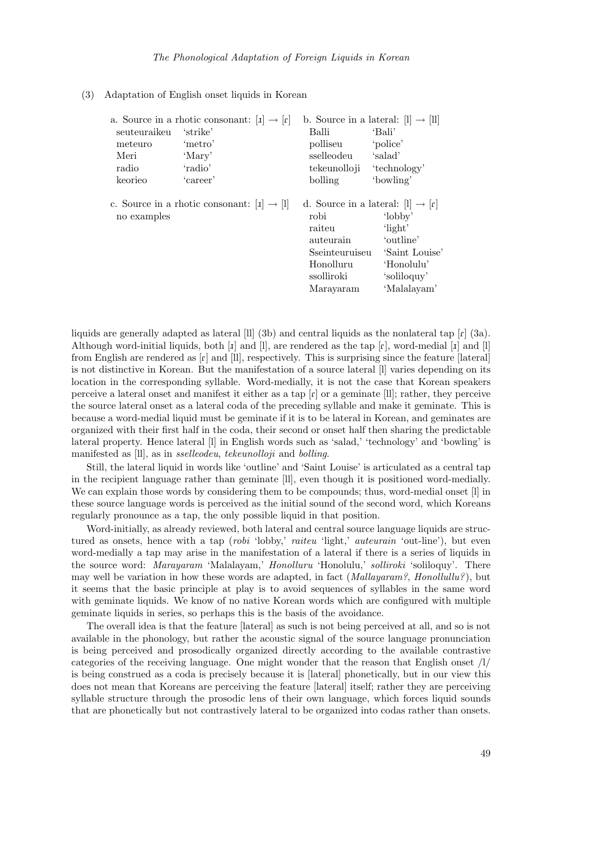#### (3) Adaptation of English onset liquids in Korean

|              | a. Source in a rhotic consonant: $[i] \rightarrow [r]$ |                                                                                                                                        | b. Source in a lateral: $[1] \rightarrow [1]$                                                 |
|--------------|--------------------------------------------------------|----------------------------------------------------------------------------------------------------------------------------------------|-----------------------------------------------------------------------------------------------|
| seuteuraikeu | 'strike'                                               | Balli                                                                                                                                  | 'Bali'                                                                                        |
| meteuro      | 'metro'                                                | polliseu                                                                                                                               | 'police'                                                                                      |
| Meri         | 'Mary'                                                 | sselleodeu                                                                                                                             | 'salad'                                                                                       |
| radio        | 'radio'                                                | tekeunolloji                                                                                                                           | 'technology'                                                                                  |
| keorieo      | 'career'                                               | bolling                                                                                                                                | 'bowling'                                                                                     |
| no examples  | c. Source in a rhotic consonant: $[i] \rightarrow [1]$ | d. Source in a lateral: $ l  \rightarrow  r $<br>robi<br>raiteu<br>auteurain<br>Sseinteuruiseu<br>Honolluru<br>ssolliroki<br>Marayaram | 'lobby'<br>'light'<br>'outline'<br>'Saint Louise'<br>'Honolulu'<br>'soliloquy'<br>'Malalayam' |

liquids are generally adapted as lateral  $\text{[II]}$  (3b) and central liquids as the nonlateral tap  $\text{[r]}$  (3a). Although word-initial liquids, both  $[i]$  and  $[i]$ , are rendered as the tap  $[i]$ , word-medial  $[i]$  and  $[i]$ from English are rendered as  $\lceil \mathbf{r} \rceil$  and  $\lceil \mathbf{l} \rceil$ , respectively. This is surprising since the feature [lateral] is not distinctive in Korean. But the manifestation of a source lateral [l] varies depending on its location in the corresponding syllable. Word-medially, it is not the case that Korean speakers perceive a lateral onset and manifest it either as a tap  $\lceil \mathbf{r} \rceil$  or a geminate [ll]; rather, they perceive the source lateral onset as a lateral coda of the preceding syllable and make it geminate. This is because a word-medial liquid must be geminate if it is to be lateral in Korean, and geminates are organized with their first half in the coda, their second or onset half then sharing the predictable lateral property. Hence lateral [l] in English words such as 'salad,' 'technology' and 'bowling' is manifested as [ll], as in sselleodeu, tekeunolloji and bolling.

Still, the lateral liquid in words like 'outline' and 'Saint Louise' is articulated as a central tap in the recipient language rather than geminate [ll], even though it is positioned word-medially. We can explain those words by considering them to be compounds; thus, word-medial onset [1] in these source language words is perceived as the initial sound of the second word, which Koreans regularly pronounce as a tap, the only possible liquid in that position.

Word-initially, as already reviewed, both lateral and central source language liquids are structured as onsets, hence with a tap (robi 'lobby,' raiteu 'light,' auteurain 'out-line'), but even word-medially a tap may arise in the manifestation of a lateral if there is a series of liquids in the source word: Marayaram 'Malalayam,' Honolluru 'Honolulu,' solliroki 'soliloquy'. There may well be variation in how these words are adapted, in fact (*Mallayaram?*, *Honollullu?*), but it seems that the basic principle at play is to avoid sequences of syllables in the same word with geminate liquids. We know of no native Korean words which are configured with multiple geminate liquids in series, so perhaps this is the basis of the avoidance.

The overall idea is that the feature [lateral] as such is not being perceived at all, and so is not available in the phonology, but rather the acoustic signal of the source language pronunciation is being perceived and prosodically organized directly according to the available contrastive categories of the receiving language. One might wonder that the reason that English onset  $/1/$ is being construed as a coda is precisely because it is [lateral] phonetically, but in our view this does not mean that Koreans are perceiving the feature [lateral] itself; rather they are perceiving syllable structure through the prosodic lens of their own language, which forces liquid sounds that are phonetically but not contrastively lateral to be organized into codas rather than onsets.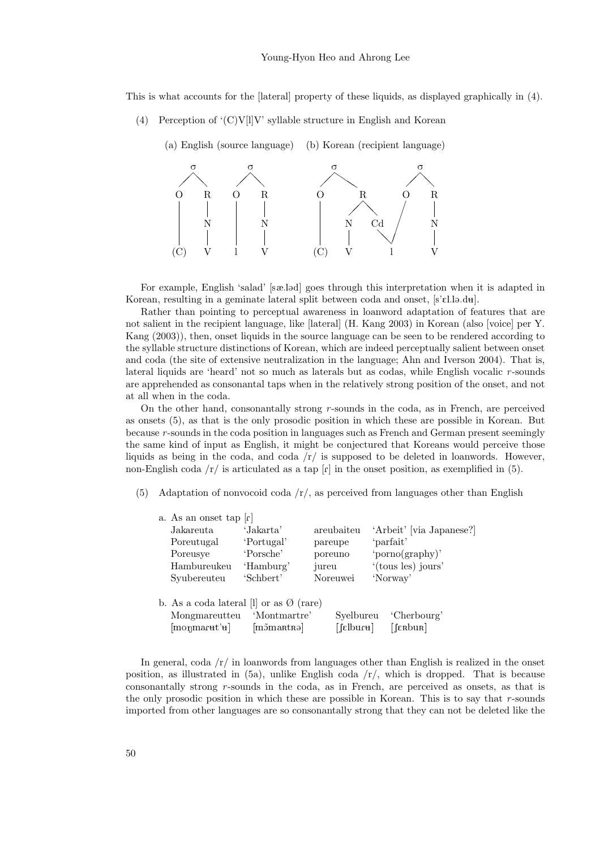This is what accounts for the [lateral] property of these liquids, as displayed graphically in (4).

(4) Perception of  $(C)V[1]V$  syllable structure in English and Korean



For example, English 'salad' [sæ.ld] goes through this interpretation when it is adapted in Korean, resulting in a geminate lateral split between coda and onset,  $[s\in\ell].\Box\Box\mathrm{d}\mathfrak{u}].$ 

Rather than pointing to perceptual awareness in loanword adaptation of features that are not salient in the recipient language, like [lateral] (H. Kang 2003) in Korean (also [voice] per Y. Kang (2003)), then, onset liquids in the source language can be seen to be rendered according to the syllable structure distinctions of Korean, which are indeed perceptually salient between onset and coda (the site of extensive neutralization in the language; Ahn and Iverson 2004). That is, lateral liquids are 'heard' not so much as laterals but as codas, while English vocalic  $r$ -sounds are apprehended as consonantal taps when in the relatively strong position of the onset, and not at all when in the coda.

On the other hand, consonantally strong  $r$ -sounds in the coda, as in French, are perceived as onsets (5), as that is the only prosodic position in which these are possible in Korean. But because r -sounds in the coda position in languages such as French and German present seemingly the same kind of input as English, it might be conjectured that Koreans would perceive those liquids as being in the coda, and coda /r/ is supposed to be deleted in loanwords. However, non-English coda  $/r /$  is articulated as a tap  $\lceil r \rceil$  in the onset position, as exemplified in (5).

(5) Adaptation of nonvocoid coda  $\langle r \rangle$ , as perceived from languages other than English

| a. As an onset tap $\lceil r \rceil$                                                                 |                           |                        |                          |
|------------------------------------------------------------------------------------------------------|---------------------------|------------------------|--------------------------|
| Jakareuta                                                                                            | 'Jakarta'                 | areubaiteu             | 'Arbeit' [via Japanese?] |
| Poreutugal                                                                                           | 'Portugal'                | pareupe                | 'parfait'                |
| Poreusye                                                                                             | 'Porsche'                 | poreuno                | 'porno(graphy)'          |
| Hambureukeu                                                                                          | 'Hamburg'                 | jureu                  | '(tous les) jours'       |
| Syubereuteu                                                                                          | 'Schbert'                 | Noreuwei               | 'Norway'                 |
| b. As a coda lateral [1] or as $\emptyset$ (rare)<br>Mongmareutteu<br>$[\text{mognarut'}\mathbf{u}]$ | 'Montmartre'<br>mõmartrəl | Svelbureu<br>[fɛlbuɾʉ] | 'Cherbourg'<br>[∫ɛʀbuʀ]  |

In general, coda  $/r/m$  in loanwords from languages other than English is realized in the onset position, as illustrated in  $(5a)$ , unlike English coda  $/r/$ , which is dropped. That is because consonantally strong r-sounds in the coda, as in French, are perceived as onsets, as that is the only prosodic position in which these are possible in Korean. This is to say that  $r$ -sounds imported from other languages are so consonantally strong that they can not be deleted like the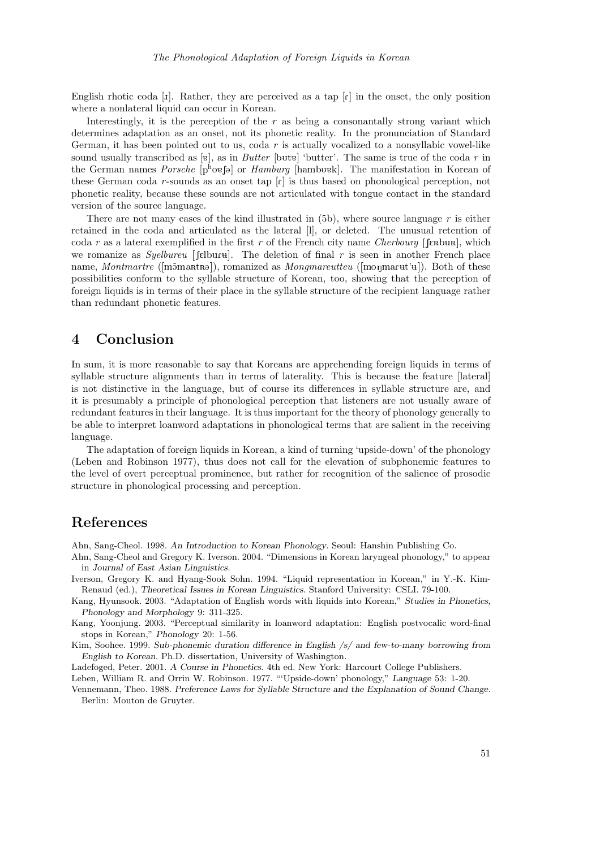English rhotic coda  $[x]$ . Rather, they are perceived as a tap  $[x]$  in the onset, the only position where a nonlateral liquid can occur in Korean.

Interestingly, it is the perception of the  $r$  as being a consonantally strong variant which determines adaptation as an onset, not its phonetic reality. In the pronunciation of Standard German, it has been pointed out to us, coda  $r$  is actually vocalized to a nonsyllabic vowel-like sound usually transcribed as [ve], as in Butter [butter] 'butter'. The same is true of the coda r in the German names Porsche  $[p^h \text{og}]$  or Hamburg [hamburg]. The manifestation in Korean of these German coda r-sounds as an onset tap  $\lbrack r \rbrack$  is thus based on phonological perception, not phonetic reality, because these sounds are not articulated with tongue contact in the standard version of the source language.

There are not many cases of the kind illustrated in (5b), where source language r is either retained in the coda and articulated as the lateral [l], or deleted. The unusual retention of coda r as a lateral exemplified in the first r of the French city name *Cherbourg* [[ $\epsilon_R$ bur], which we romanize as Syelbureu [ $\text{fellur}$ ]. The deletion of final r is seen in another French place name, Montmartre ( $[\text{mõmatra}),$  romanized as Mongmareutteu ( $[\text{mogmatra}]\$ ). Both of these possibilities conform to the syllable structure of Korean, too, showing that the perception of foreign liquids is in terms of their place in the syllable structure of the recipient language rather than redundant phonetic features.

### 4 Conclusion

In sum, it is more reasonable to say that Koreans are apprehending foreign liquids in terms of syllable structure alignments than in terms of laterality. This is because the feature [lateral] is not distinctive in the language, but of course its differences in syllable structure are, and it is presumably a principle of phonological perception that listeners are not usually aware of redundant features in their language. It is thus important for the theory of phonology generally to be able to interpret loanword adaptations in phonological terms that are salient in the receiving language.

The adaptation of foreign liquids in Korean, a kind of turning 'upside-down' of the phonology (Leben and Robinson 1977), thus does not call for the elevation of subphonemic features to the level of overt perceptual prominence, but rather for recognition of the salience of prosodic structure in phonological processing and perception.

### References

Ahn, Sang-Cheol. 1998. An Introduction to Korean Phonology. Seoul: Hanshin Publishing Co.

- Ahn, Sang-Cheol and Gregory K. Iverson. 2004. "Dimensions in Korean laryngeal phonology," to appear in Journal of East Asian Linguistics.
- Iverson, Gregory K. and Hyang-Sook Sohn. 1994. "Liquid representation in Korean," in Y.-K. Kim-Renaud (ed.), Theoretical Issues in Korean Linguistics. Stanford University: CSLI. 79-100.
- Kang, Hyunsook. 2003. "Adaptation of English words with liquids into Korean," Studies in Phonetics, Phonology and Morphology 9: 311-325.
- Kang, Yoonjung. 2003. "Perceptual similarity in loanword adaptation: English postvocalic word-final stops in Korean," Phonology 20: 1-56.

Kim, Soohee. 1999. Sub-phonemic duration difference in English /s/ and few-to-many borrowing from English to Korean. Ph.D. dissertation, University of Washington.

Ladefoged, Peter. 2001. A Course in Phonetics. 4th ed. New York: Harcourt College Publishers.

Leben, William R. and Orrin W. Robinson. 1977. "'Upside-down' phonology," Language 53: 1-20.

Vennemann, Theo. 1988. Preference Laws for Syllable Structure and the Explanation of Sound Change. Berlin: Mouton de Gruyter.